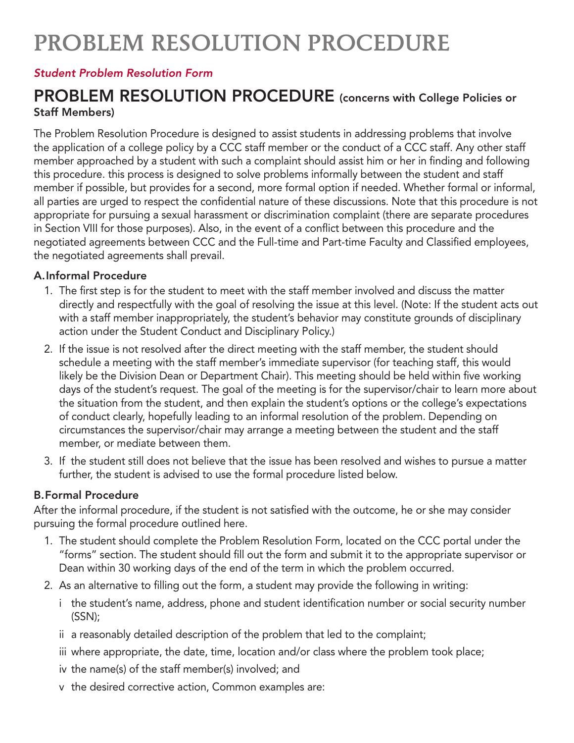# PROBLEM RESOLUTION PROCEDURE

#### *[Student Problem Resolution Form](https://www.clackamas.edu/docs/default-source/about-us/accreditation-and-policies/student-problem-resolution-form.pdf)*

## PROBLEM RESOLUTION PROCEDURE (concerns with College Policies or Staff Members)

The Problem Resolution Procedure is designed to assist students in addressing problems that involve the application of a college policy by a CCC staff member or the conduct of a CCC staff. Any other staff member approached by a student with such a complaint should assist him or her in finding and following this procedure. this process is designed to solve problems informally between the student and staff member if possible, but provides for a second, more formal option if needed. Whether formal or informal, all parties are urged to respect the confidential nature of these discussions. Note that this procedure is not appropriate for pursuing a sexual harassment or discrimination complaint (there are separate procedures in Section VIII for those purposes). Also, in the event of a conflict between this procedure and the negotiated agreements between CCC and the Full-time and Part-time Faculty and Classified employees, the negotiated agreements shall prevail.

#### A. Informal Procedure

- 1. The first step is for the student to meet with the staff member involved and discuss the matter directly and respectfully with the goal of resolving the issue at this level. (Note: If the student acts out with a staff member inappropriately, the student's behavior may constitute grounds of disciplinary action under the Student Conduct and Disciplinary Policy.)
- 2. If the issue is not resolved after the direct meeting with the staff member, the student should schedule a meeting with the staff member's immediate supervisor (for teaching staff, this would likely be the Division Dean or Department Chair). This meeting should be held within five working days of the student's request. The goal of the meeting is for the supervisor/chair to learn more about the situation from the student, and then explain the student's options or the college's expectations of conduct clearly, hopefully leading to an informal resolution of the problem. Depending on circumstances the supervisor/chair may arrange a meeting between the student and the staff member, or mediate between them.
- 3. If the student still does not believe that the issue has been resolved and wishes to pursue a matter further, the student is advised to use the formal procedure listed below.

### B. Formal Procedure

After the informal procedure, if the student is not satisfied with the outcome, he or she may consider pursuing the formal procedure outlined here.

- 1. The student should complete the Problem Resolution Form, located on the CCC portal under the "forms" section. The student should fill out the form and submit it to the appropriate supervisor or Dean within 30 working days of the end of the term in which the problem occurred.
- 2. As an alternative to filling out the form, a student may provide the following in writing:
	- i the student's name, address, phone and student identification number or social security number (SSN);
	- ii a reasonably detailed description of the problem that led to the complaint;
	- iii where appropriate, the date, time, location and/or class where the problem took place;
	- iv the name(s) of the staff member(s) involved; and
	- v the desired corrective action, Common examples are: